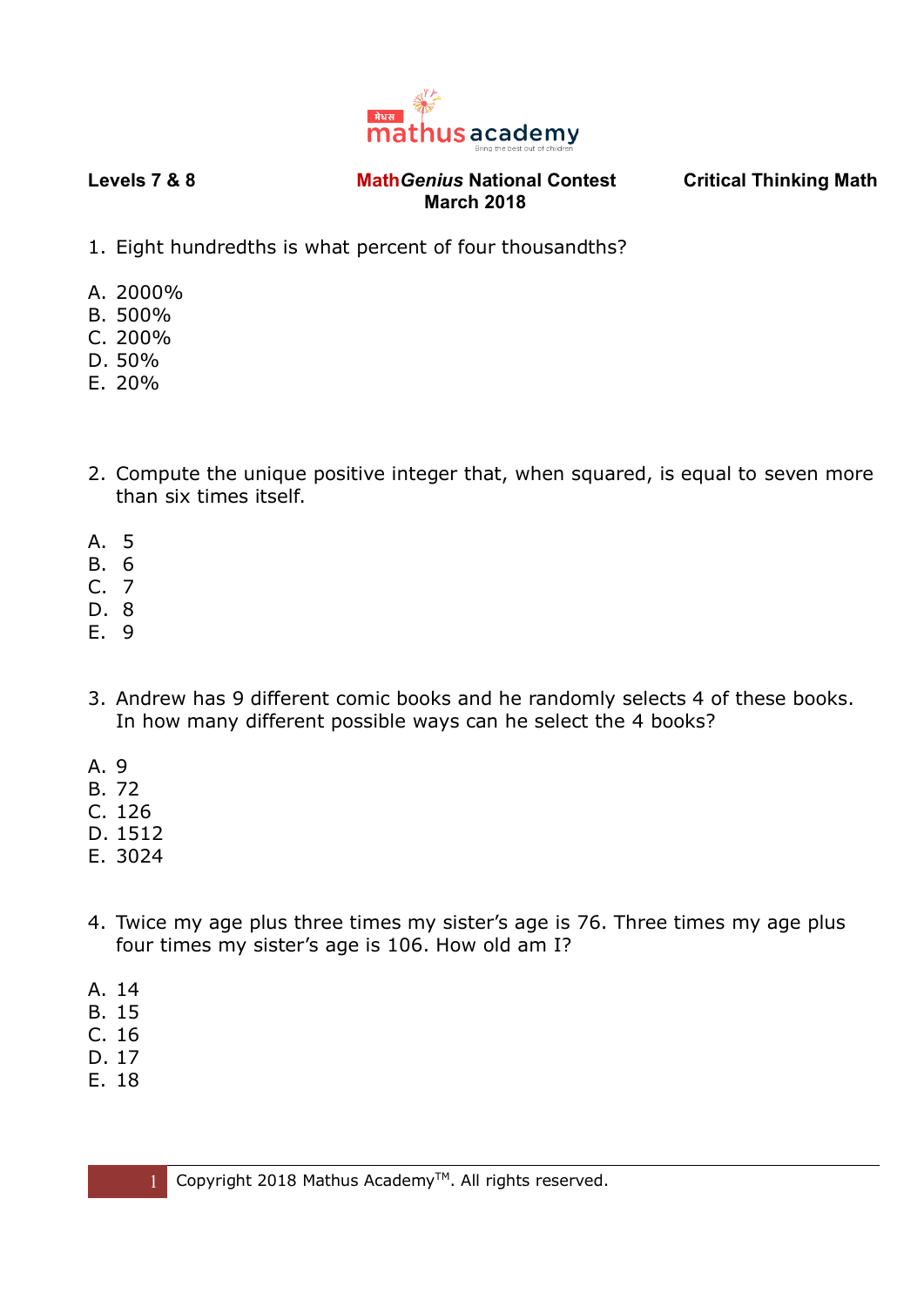

- 1. Eight hundredths is what percent of four thousandths?
- A. 2000%
- B. 500%
- C. 200%
- D. 50%
- E. 20%
- 2. Compute the unique positive integer that, when squared, is equal to seven more than six times itself.
- A. 5
- B. 6
- C. 7
- D. 8
- E. 9
- 3. Andrew has 9 different comic books and he randomly selects 4 of these books. In how many different possible ways can he select the 4 books?
- A. 9
- B. 72
- C. 126
- D. 1512
- E. 3024
- 4. Twice my age plus three times my sister's age is 76. Three times my age plus four times my sister's age is 106. How old am I?
- A. 14
- B. 15
- C. 16
- D. 17
- E. 18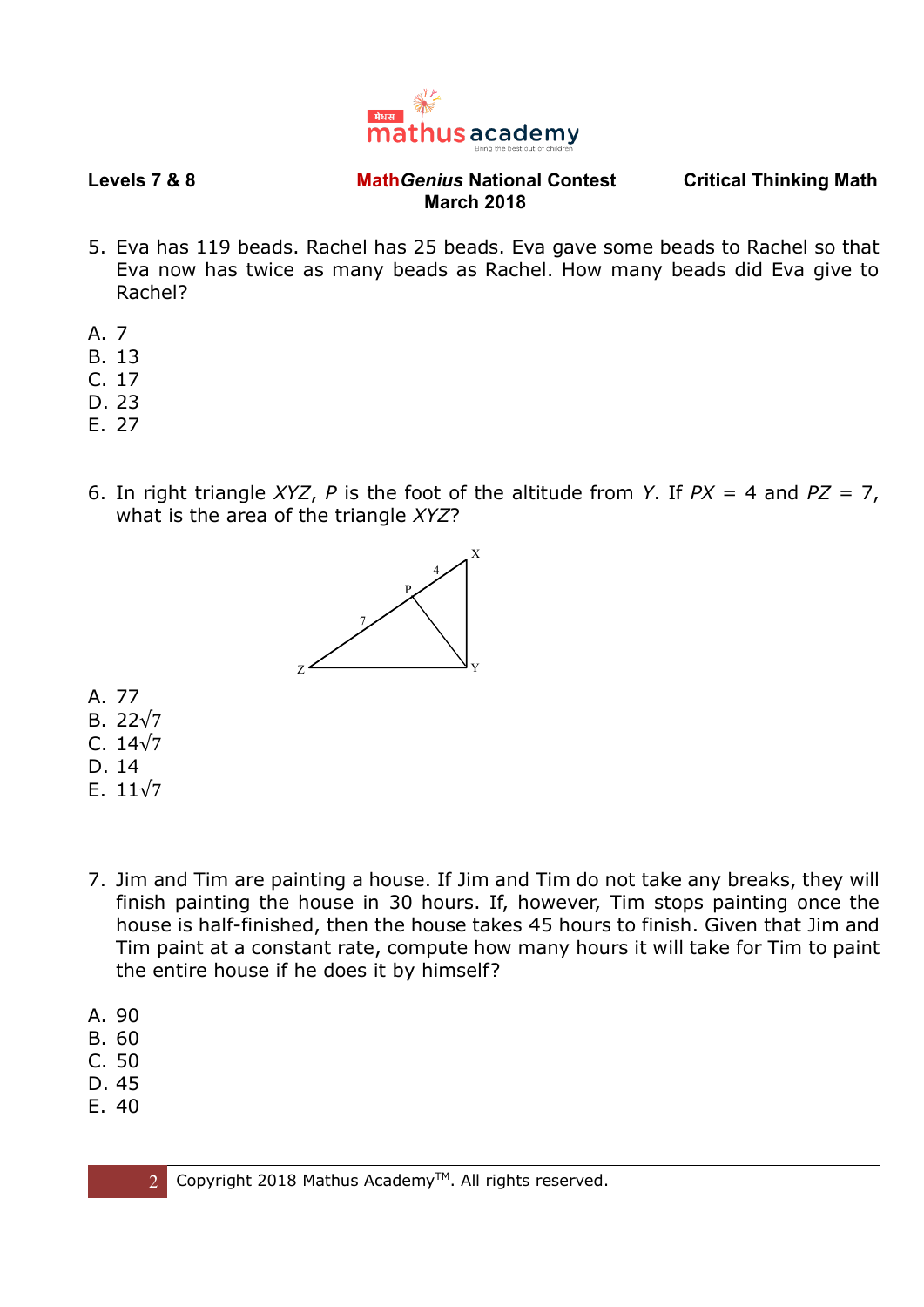

- 5. Eva has 119 beads. Rachel has 25 beads. Eva gave some beads to Rachel so that Eva now has twice as many beads as Rachel. How many beads did Eva give to Rachel?
- A. 7
- B. 13
- C. 17
- D. 23
- E. 27
- 6. In right triangle *XYZ*, *P* is the foot of the altitude from *Y*. If *PX* = 4 and *PZ* = 7, what is the area of the triangle *XYZ*?



- A. 77
- B. 22√7
- C. 14√7
- D. 14
- E. 11√7
- 7. Jim and Tim are painting a house. If Jim and Tim do not take any breaks, they will finish painting the house in 30 hours. If, however, Tim stops painting once the house is half-finished, then the house takes 45 hours to finish. Given that Jim and Tim paint at a constant rate, compute how many hours it will take for Tim to paint the entire house if he does it by himself?
- A. 90
- B. 60
- C. 50
- D. 45
- E. 40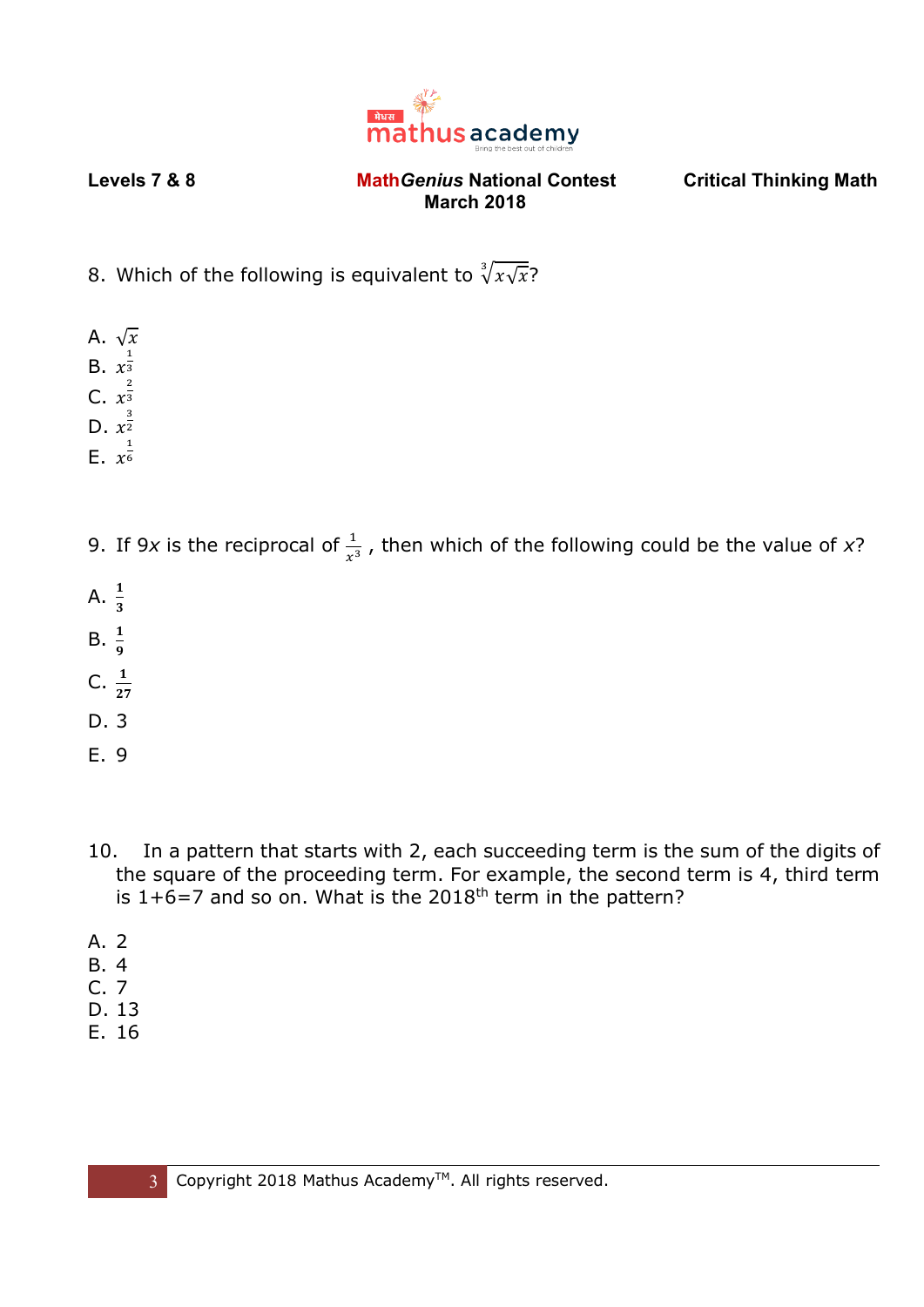

- 8. Which of the following is equivalent to  $\sqrt[3]{x\sqrt{x}}$ ?
- A.  $\sqrt{x}$
- B.  $x^{\frac{1}{3}}$ 3
- C.  $x^{\frac{2}{3}}$ 3
- D.  $x^{\frac{3}{2}}$ 2
- E.  $x^{\frac{1}{6}}$ 6
- 9. If 9x is the reciprocal of  $\frac{1}{x^3}$ , then which of the following could be the value of x?
- A.  $\frac{1}{3}$
- 
- B.  $\frac{1}{9}$
- C.  $\frac{1}{27}$
- D. 3
- E. 9
- 10. In a pattern that starts with 2, each succeeding term is the sum of the digits of the square of the proceeding term. For example, the second term is 4, third term is  $1+6=7$  and so on. What is the 2018<sup>th</sup> term in the pattern?
- A. 2
- B. 4
- C. 7
- D. 13
- E. 16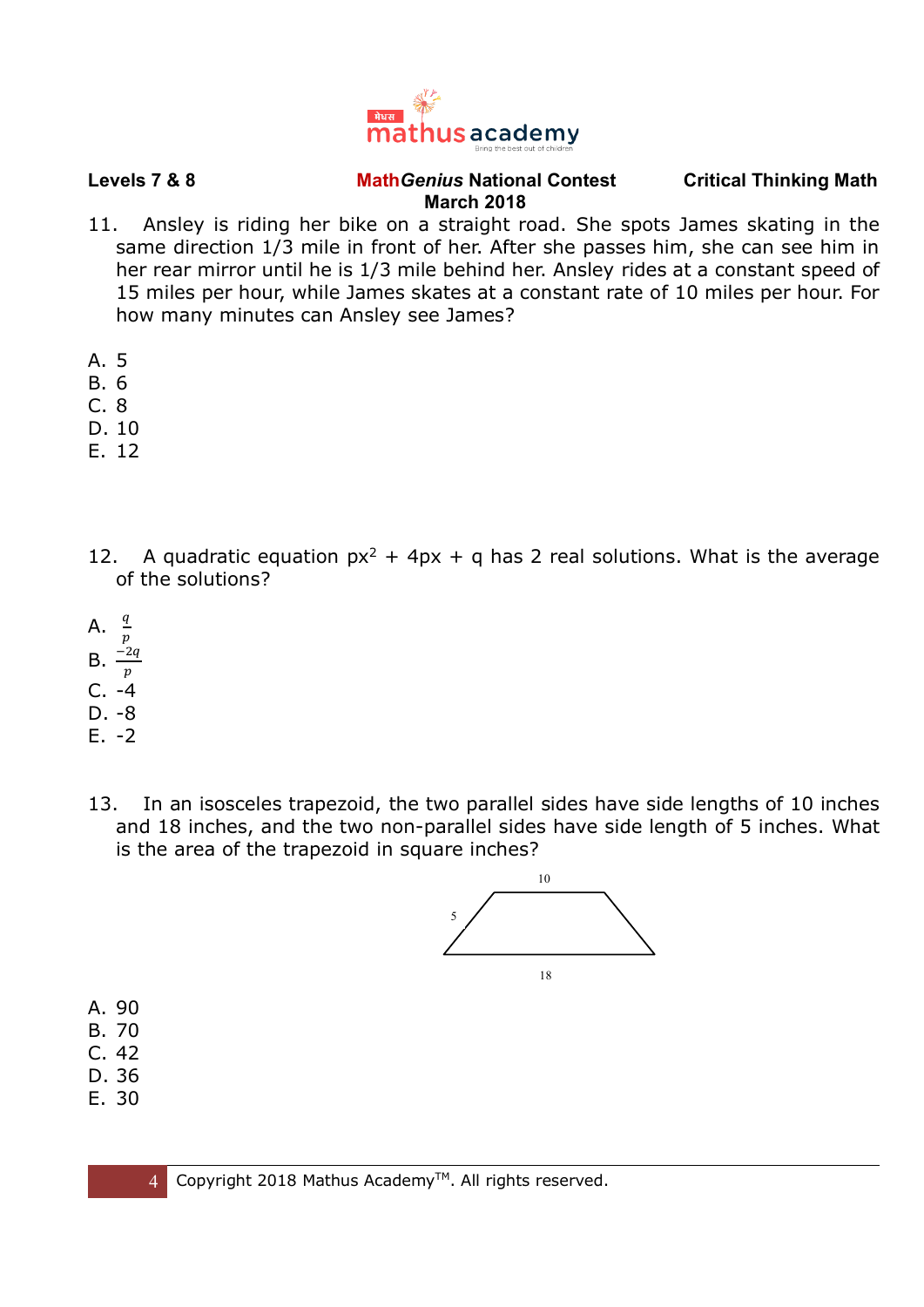

- 11. Ansley is riding her bike on a straight road. She spots James skating in the same direction 1/3 mile in front of her. After she passes him, she can see him in her rear mirror until he is 1/3 mile behind her. Ansley rides at a constant speed of 15 miles per hour, while James skates at a constant rate of 10 miles per hour. For how many minutes can Ansley see James?
- A. 5
- B. 6
- C. 8
- D. 10
- E. 12
- 12. A quadratic equation  $px^2 + 4px + q$  has 2 real solutions. What is the average of the solutions?
- A.  $\frac{q}{q}$  $\boldsymbol{p}$
- $B. \frac{-2q}{-2q}$
- $\boldsymbol{p}$  $C. -4$
- D. -8
- E. -2
- 13. In an isosceles trapezoid, the two parallel sides have side lengths of 10 inches and 18 inches, and the two non-parallel sides have side length of 5 inches. What is the area of the trapezoid in square inches?



- A. 90
- B. 70
- C. 42
- D. 36
- E. 30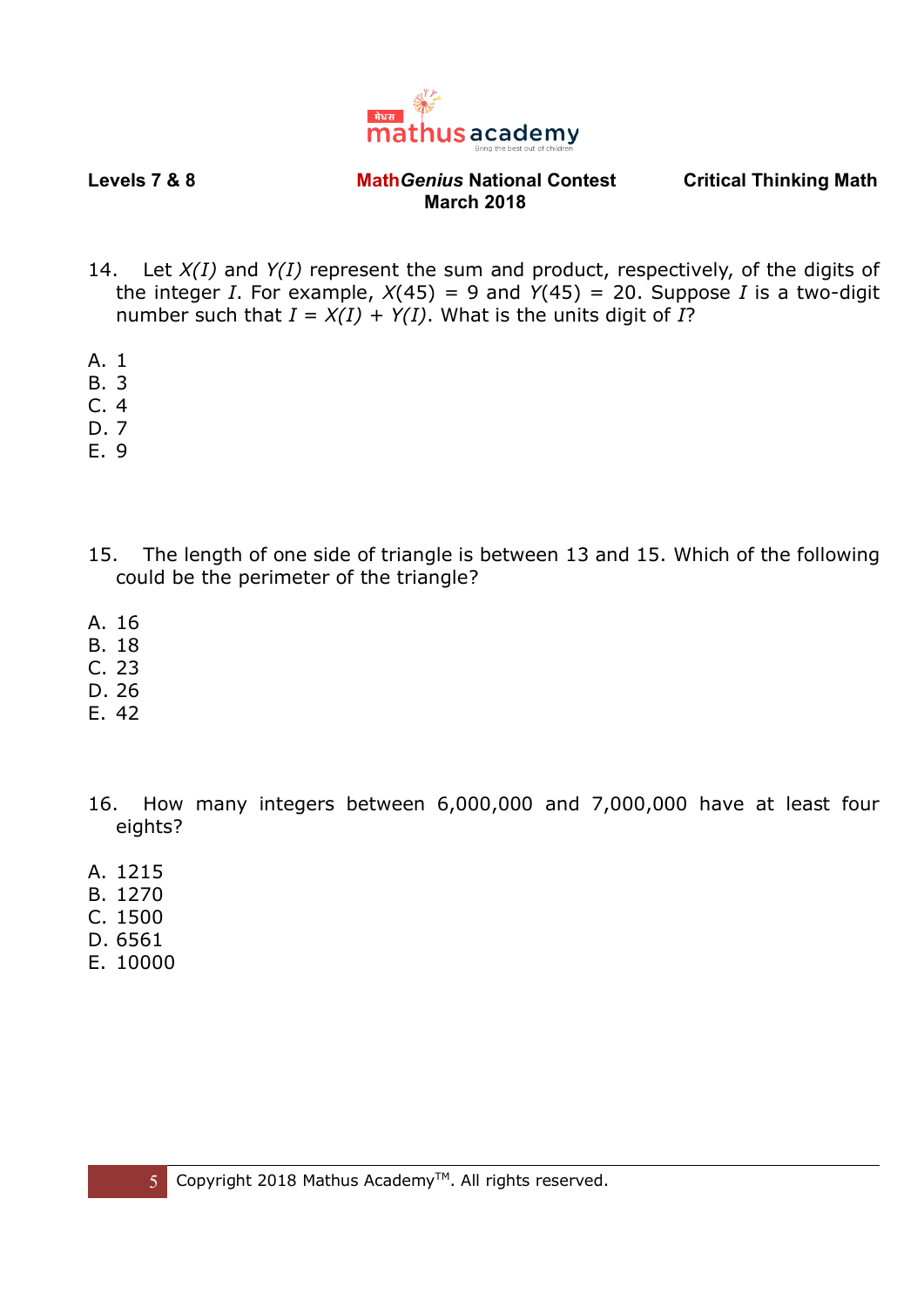

- 14. Let *X(I)* and *Y(I)* represent the sum and product, respectively, of the digits of the integer *I*. For example,  $X(45) = 9$  and  $Y(45) = 20$ . Suppose *I* is a two-digit number such that  $I = X(I) + Y(I)$ . What is the units digit of *I*?
- A. 1
- B. 3
- $C.4$
- D. 7
- E. 9
- 15. The length of one side of triangle is between 13 and 15. Which of the following could be the perimeter of the triangle?
- A. 16
- B. 18
- C. 23
- D. 26
- E. 42
- 16. How many integers between 6,000,000 and 7,000,000 have at least four eights?
- A. 1215
- B. 1270
- C. 1500
- D. 6561
- E. 10000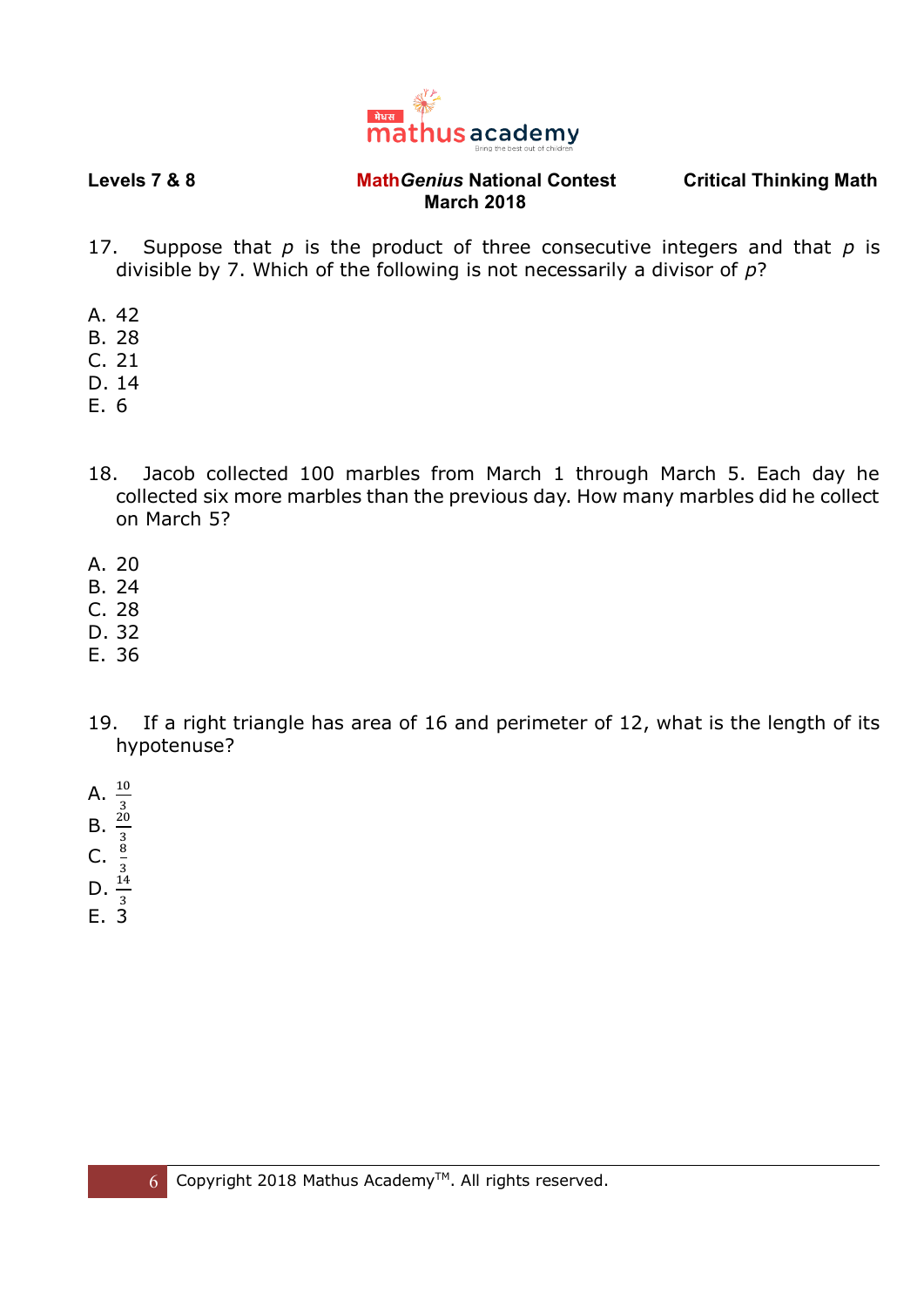

- 17. Suppose that *p* is the product of three consecutive integers and that *p* is divisible by 7. Which of the following is not necessarily a divisor of *p*?
- A. 42
- B. 28
- C. 21
- D. 14
- E. 6
- 18. Jacob collected 100 marbles from March 1 through March 5. Each day he collected six more marbles than the previous day. How many marbles did he collect on March 5?
- A. 20
- B. 24
- C. 28
- D. 32
- E. 36
- 19. If a right triangle has area of 16 and perimeter of 12, what is the length of its hypotenuse?
- 
- A.  $\frac{10}{3}$ <br>B.  $\frac{20}{3}$ <br>C.  $\frac{8}{3}$ <br>D.  $\frac{14}{3}$
- 
- 
- 
- E. 3